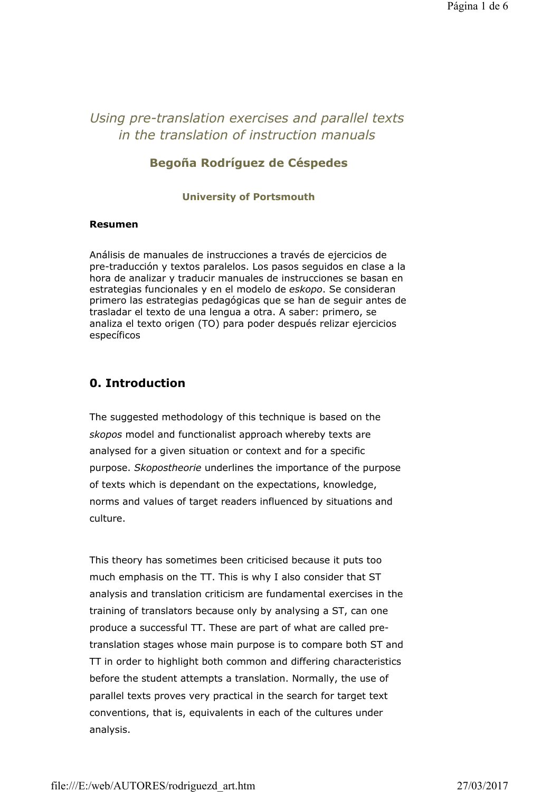# *Using pre-translation exercises and parallel texts in the translation of instruction manuals*

### **Begoña Rodríguez de Céspedes**

#### **University of Portsmouth**

#### **Resumen**

Análisis de manuales de instrucciones a través de ejercicios de pre-traducción y textos paralelos. Los pasos seguidos en clase a la hora de analizar y traducir manuales de instrucciones se basan en estrategias funcionales y en el modelo de *eskopo*. Se consideran primero las estrategias pedagógicas que se han de seguir antes de trasladar el texto de una lengua a otra. A saber: primero, se analiza el texto origen (TO) para poder después relizar ejercicios específicos

## **0. Introduction**

The suggested methodology of this technique is based on the *skopos* model and functionalist approach whereby texts are analysed for a given situation or context and for a specific purpose. *Skopostheorie* underlines the importance of the purpose of texts which is dependant on the expectations, knowledge, norms and values of target readers influenced by situations and culture.

This theory has sometimes been criticised because it puts too much emphasis on the TT. This is why I also consider that ST analysis and translation criticism are fundamental exercises in the training of translators because only by analysing a ST, can one produce a successful TT. These are part of what are called pretranslation stages whose main purpose is to compare both ST and TT in order to highlight both common and differing characteristics before the student attempts a translation. Normally, the use of parallel texts proves very practical in the search for target text conventions, that is, equivalents in each of the cultures under analysis.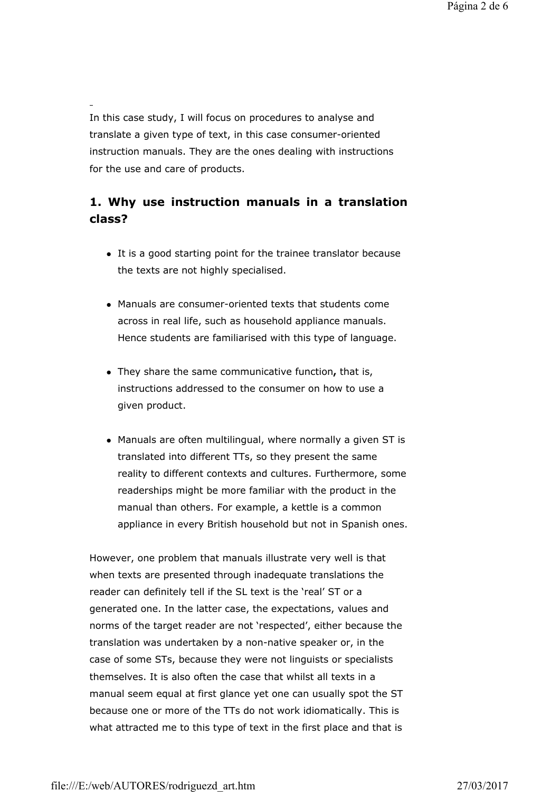In this case study, I will focus on procedures to analyse and translate a given type of text, in this case consumer-oriented instruction manuals. They are the ones dealing with instructions for the use and care of products.

## **1. Why use instruction manuals in a translation class?**

- $\bullet$  It is a good starting point for the trainee translator because the texts are not highly specialised.
- Manuals are consumer-oriented texts that students come across in real life, such as household appliance manuals. Hence students are familiarised with this type of language.
- They share the same communicative function, that is, instructions addressed to the consumer on how to use a given product.
- Manuals are often multilingual, where normally a given ST is translated into different TTs, so they present the same reality to different contexts and cultures. Furthermore, some readerships might be more familiar with the product in the manual than others. For example, a kettle is a common appliance in every British household but not in Spanish ones.

However, one problem that manuals illustrate very well is that when texts are presented through inadequate translations the reader can definitely tell if the SL text is the 'real' ST or a generated one. In the latter case, the expectations, values and norms of the target reader are not 'respected', either because the translation was undertaken by a non-native speaker or, in the case of some STs, because they were not linguists or specialists themselves. It is also often the case that whilst all texts in a manual seem equal at first glance yet one can usually spot the ST because one or more of the TTs do not work idiomatically. This is what attracted me to this type of text in the first place and that is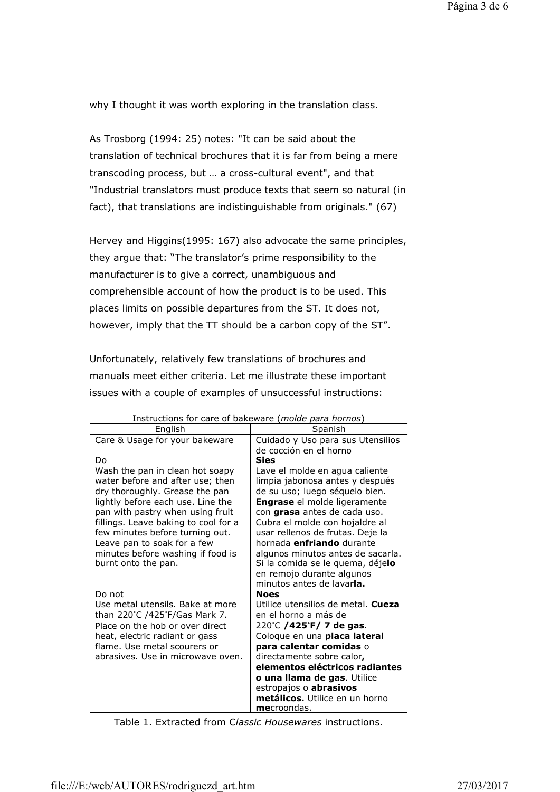why I thought it was worth exploring in the translation class.

As Trosborg (1994: 25) notes: "It can be said about the translation of technical brochures that it is far from being a mere transcoding process, but … a cross-cultural event", and that "Industrial translators must produce texts that seem so natural (in fact), that translations are indistinguishable from originals." (67)

Hervey and Higgins(1995: 167) also advocate the same principles, they argue that: "The translator's prime responsibility to the manufacturer is to give a correct, unambiguous and comprehensible account of how the product is to be used. This places limits on possible departures from the ST. It does not, however, imply that the TT should be a carbon copy of the ST".

Unfortunately, relatively few translations of brochures and manuals meet either criteria. Let me illustrate these important issues with a couple of examples of unsuccessful instructions:

| Instructions for care of bakeware (molde para hornos)                    |                                                                            |
|--------------------------------------------------------------------------|----------------------------------------------------------------------------|
| English                                                                  | Spanish                                                                    |
| Care & Usage for your bakeware                                           | Cuidado y Uso para sus Utensilios                                          |
|                                                                          | de cocción en el horno                                                     |
| Do                                                                       | <b>Sies</b>                                                                |
| Wash the pan in clean hot soapy                                          | Lave el molde en agua caliente                                             |
| water before and after use; then                                         | limpia jabonosa antes y después                                            |
| dry thoroughly. Grease the pan                                           | de su uso; luego séquelo bien.                                             |
| lightly before each use. Line the                                        | <b>Engrase</b> el molde ligeramente<br>con <b>grasa</b> antes de cada uso. |
| pan with pastry when using fruit<br>fillings. Leave baking to cool for a | Cubra el molde con hojaldre al                                             |
| few minutes before turning out.                                          | usar rellenos de frutas. Deje la                                           |
| Leave pan to soak for a few                                              | hornada enfriando durante                                                  |
| minutes before washing if food is                                        | algunos minutos antes de sacarla.                                          |
| burnt onto the pan.                                                      | Si la comida se le quema, déjelo                                           |
|                                                                          | en remojo durante algunos                                                  |
|                                                                          | minutos antes de lavarla.                                                  |
| Do not                                                                   | <b>Noes</b>                                                                |
| Use metal utensils. Bake at more                                         | Utilice utensilios de metal. Cueza                                         |
| than 220°C /425°F/Gas Mark 7.                                            | en el horno a más de                                                       |
| Place on the hob or over direct                                          | 220°C /425°F/ 7 de gas.                                                    |
| heat, electric radiant or gass                                           | Coloque en una placa lateral                                               |
| flame. Use metal scourers or<br>abrasives. Use in microwave oven.        | para calentar comidas o                                                    |
|                                                                          | directamente sobre calor,<br>elementos eléctricos radiantes                |
|                                                                          | o una llama de gas. Utilice                                                |
|                                                                          | estropajos o <b>abrasivos</b>                                              |
|                                                                          | metálicos. Utilice en un horno                                             |
|                                                                          | mecroondas.                                                                |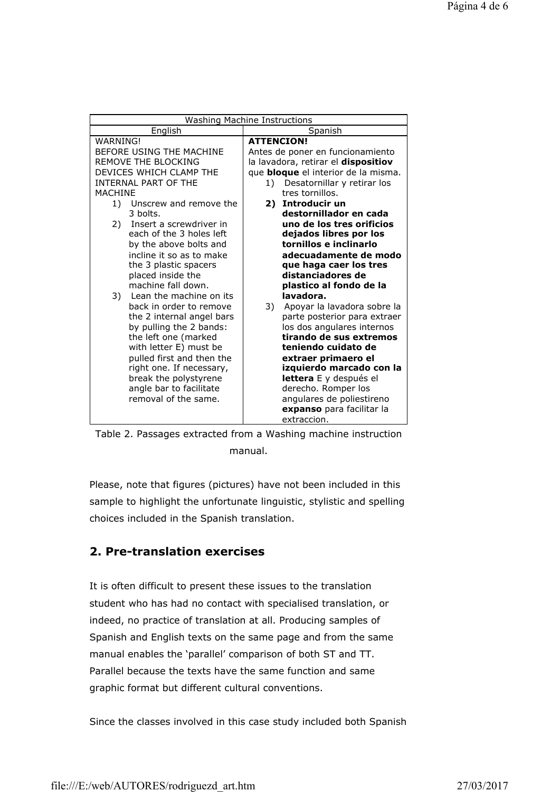| Washing Machine Instructions               |                                                 |
|--------------------------------------------|-------------------------------------------------|
| English                                    | Spanish                                         |
| <b>WARNING!</b>                            | <b>ATTENCION!</b>                               |
| BEFORE USING THE MACHINE                   | Antes de poner en funcionamiento                |
| REMOVE THE BLOCKING                        | la lavadora, retirar el <b>dispositiov</b>      |
| DEVICES WHICH CLAMP THE                    | que <b>bloque</b> el interior de la misma.      |
| <b>INTERNAL PART OF THE</b>                | Desatornillar y retirar los<br>1)               |
| <b>MACHINE</b>                             | tres tornillos.                                 |
| 1) Unscrew and remove the                  | 2) Introducir un                                |
| 3 holts.                                   | destornillador en cada                          |
| 2) Insert a screwdriver in                 | uno de los tres orificios                       |
| each of the 3 holes left                   | dejados libres por los                          |
| by the above bolts and                     | tornillos e inclinarlo                          |
| incline it so as to make                   | adecuadamente de modo<br>que haga caer los tres |
| the 3 plastic spacers<br>placed inside the | distanciadores de                               |
| machine fall down.                         | plastico al fondo de la                         |
| 3) Lean the machine on its                 | lavadora.                                       |
| back in order to remove                    | Apoyar la lavadora sobre la<br>3)               |
| the 2 internal angel bars                  | parte posterior para extraer                    |
| by pulling the 2 bands:                    | los dos angulares internos                      |
| the left one (marked                       | tirando de sus extremos                         |
| with letter E) must be                     | teniendo cuidato de                             |
| pulled first and then the                  | extraer primaero el                             |
| right one. If necessary,                   | izquierdo marcado con la                        |
| break the polystyrene                      | lettera E y después el                          |
| angle bar to facilitate                    | derecho. Romper los                             |
| removal of the same.                       | angulares de poliestireno                       |
|                                            | expanso para facilitar la                       |
|                                            | extraccion.                                     |



Please, note that figures (pictures) have not been included in this sample to highlight the unfortunate linguistic, stylistic and spelling choices included in the Spanish translation.

## **2. Pre-translation exercises**

It is often difficult to present these issues to the translation student who has had no contact with specialised translation, or indeed, no practice of translation at all. Producing samples of Spanish and English texts on the same page and from the same manual enables the 'parallel' comparison of both ST and TT. Parallel because the texts have the same function and same graphic format but different cultural conventions.

Since the classes involved in this case study included both Spanish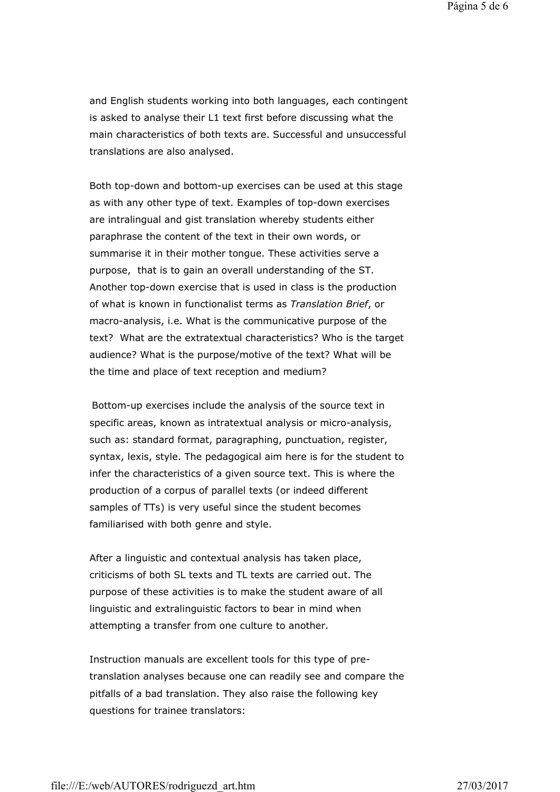and English students working into both languages, each contingent is asked to analyse their L1 text first before discussing what the main characteristics of both texts are. Successful and unsuccessful translations are also analysed.

Both top-down and bottom-up exercises can be used at this stage as with any other type of text. Examples of top-down exercises are intralingual and gist translation whereby students either paraphrase the content of the text in their own words, or summarise it in their mother tongue. These activities serve a purpose, that is to gain an overall understanding of the ST. Another top-down exercise that is used in class is the production of what is known in functionalist terms as *Translation Brief*, or macro-analysis, i.e. What is the communicative purpose of the text? What are the extratextual characteristics? Who is the target audience? What is the purpose/motive of the text? What will be the time and place of text reception and medium?

Bottom-up exercises include the analysis of the source text in specific areas, known as intratextual analysis or micro-analysis, such as: standard format, paragraphing, punctuation, register, syntax, lexis, style. The pedagogical aim here is for the student to infer the characteristics of a given source text. This is where the production of a corpus of parallel texts (or indeed different samples of TTs) is very useful since the student becomes familiarised with both genre and style.

After a linguistic and contextual analysis has taken place, criticisms of both SL texts and TL texts are carried out. The purpose of these activities is to make the student aware of all linguistic and extralinguistic factors to bear in mind when attempting a transfer from one culture to another.

Instruction manuals are excellent tools for this type of pretranslation analyses because one can readily see and compare the pitfalls of a bad translation. They also raise the following key questions for trainee translators: